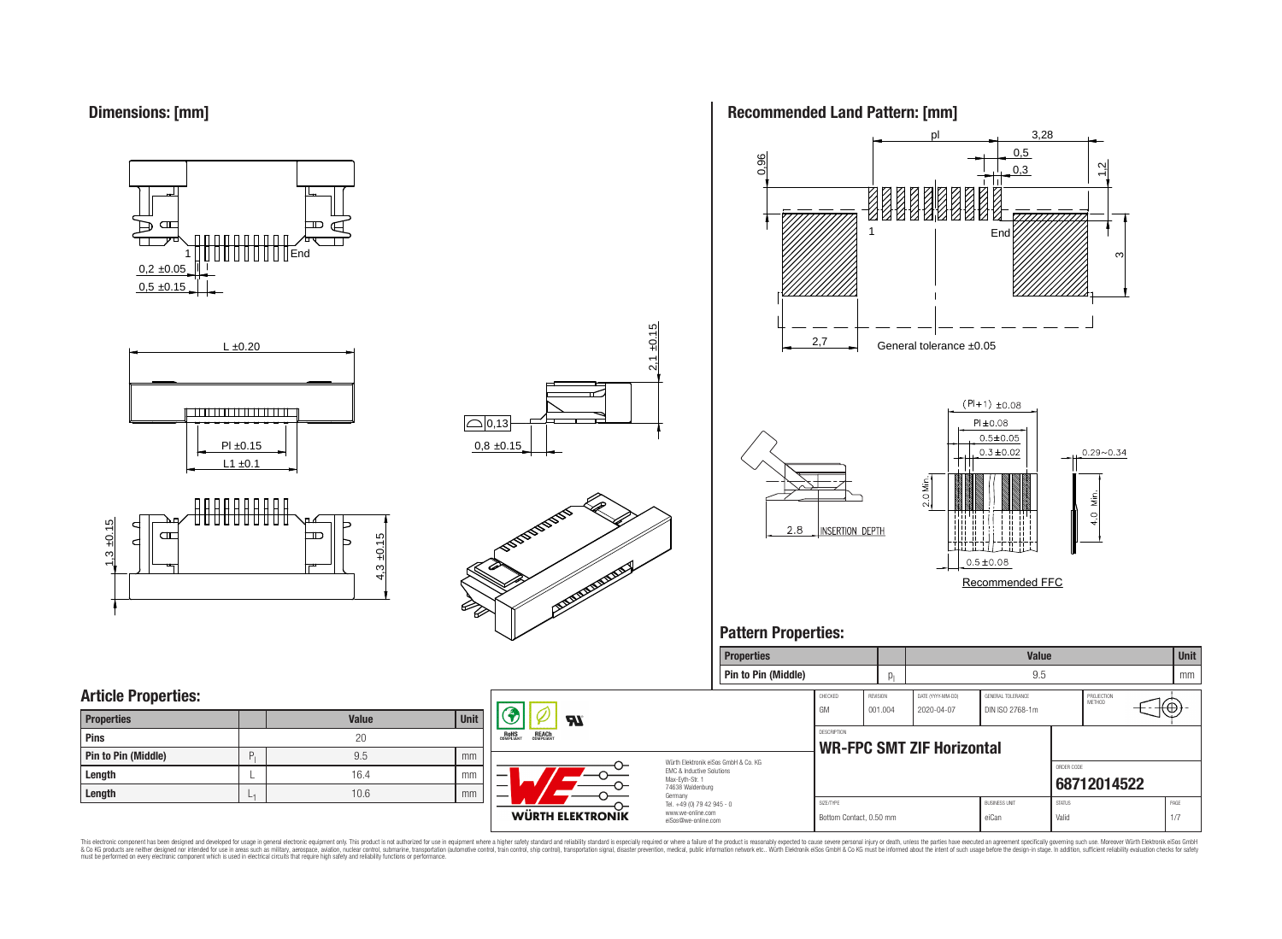

















# **Pattern Properties:**



This electronic component has been designed and developed for usage in general electronic equipment only. This product is not authorized for use in equipment where a higher safely standard and reliability standard si espec & Ook product a label and the membed of the seasuch as marked and as which such a membed and the such assume that income in the seasuch and the simulation and the such assume that include to the such a membed and the such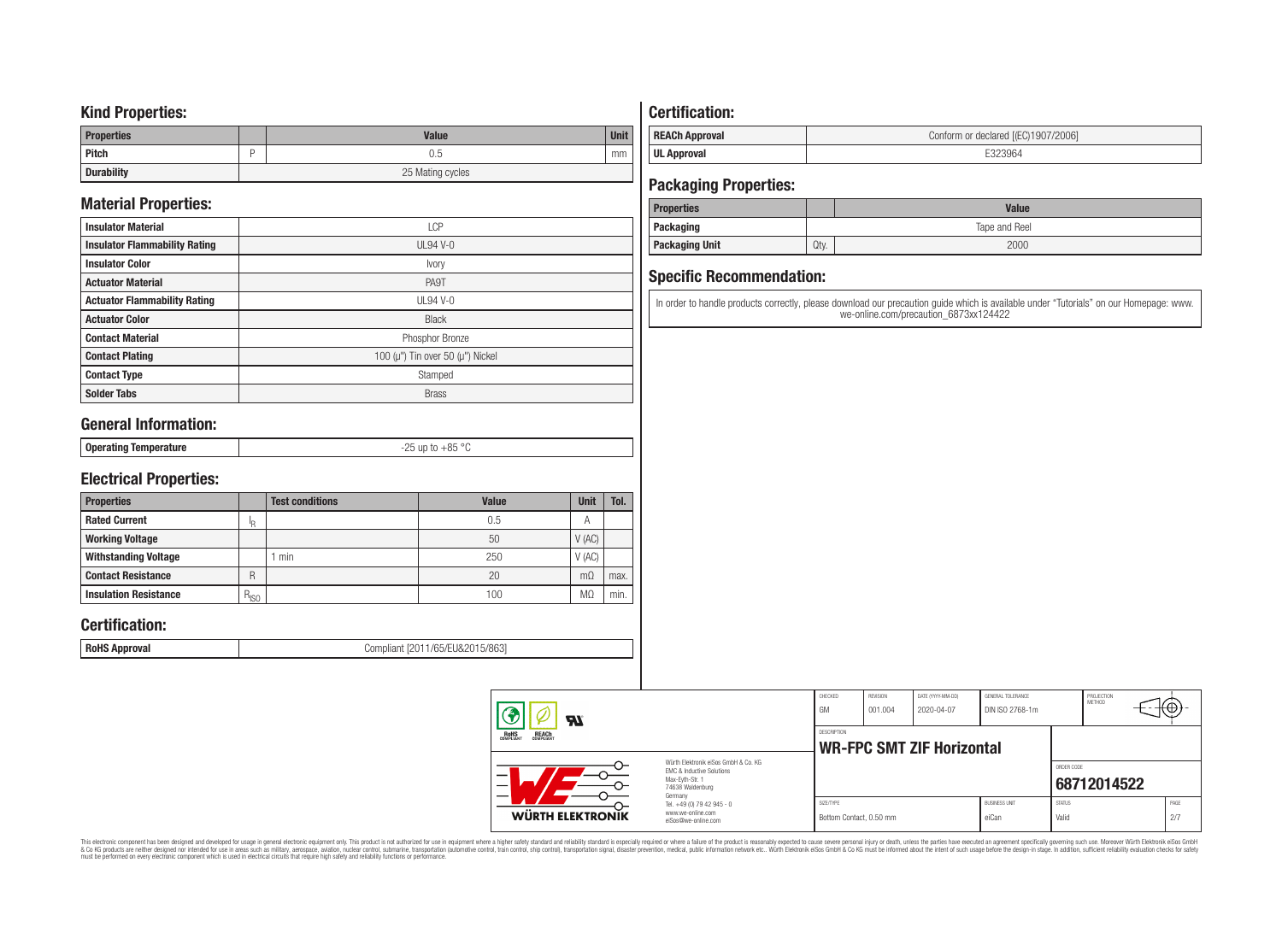### **Kind Properties:**

| <b>Properties</b> | <b>Value</b>     | <b>Unit</b> |  |  |
|-------------------|------------------|-------------|--|--|
| <b>Pitch</b>      | 0.5              | mm          |  |  |
| <b>Durability</b> | 25 Mating cycles |             |  |  |

# **Material Properties:**

| <b>Insulator Material</b>            | LCP                                          |
|--------------------------------------|----------------------------------------------|
| <b>Insulator Flammability Rating</b> | $UL94V-0$                                    |
| <b>Insulator Color</b>               | <i>vory</i>                                  |
| <b>Actuator Material</b>             | PA9T                                         |
| <b>Actuator Flammability Rating</b>  | UL94 V-0                                     |
| <b>Actuator Color</b>                | <b>Black</b>                                 |
| <b>Contact Material</b>              | Phosphor Bronze                              |
| <b>Contact Plating</b>               | 100 ( $\mu$ ") Tin over 50 ( $\mu$ ") Nickel |
| <b>Contact Type</b>                  | Stamped                                      |
| <b>Solder Tabs</b>                   | <b>Brass</b>                                 |

# **General Information:**

| . Onerating<br>O <sub>2</sub><br>aango lemberature -<br>ບບ<br>$ -$ |
|--------------------------------------------------------------------|
|--------------------------------------------------------------------|

# **Electrical Properties:**

| <b>Properties</b>            |           | <b>Test conditions</b> | Value | Unit           | Tol. |
|------------------------------|-----------|------------------------|-------|----------------|------|
| <b>Rated Current</b>         | םו        |                        | 0.5   | $\overline{A}$ |      |
| <b>Working Voltage</b>       |           |                        | 50    | V(AC)          |      |
| <b>Withstanding Voltage</b>  |           | min                    | 250   | V(AC)          |      |
| <b>Contact Resistance</b>    | R         |                        | 20    | $m\Omega$      | max. |
| <b>Insulation Resistance</b> | $R_{ISO}$ |                        | 100   | M <sub>2</sub> | min. |

# **Certification:**

**RoHS Approval RoHS Approval Compliant** [2011/65/EU&2015/863]

# **Certification:**

| <b>REACh Approval</b> | Conform or declared [(EC)1907/2006] |
|-----------------------|-------------------------------------|
| <b>UL Approval</b>    | 'Yh-                                |

# **Packaging Properties:**

| <b>Properties</b>     |               | <b>Value</b> |  |  |
|-----------------------|---------------|--------------|--|--|
| Packaging             | Tape and Reel |              |  |  |
| <b>Packaging Unit</b> | Qty.          | 2000         |  |  |

# **Specific Recommendation:**

In order to handle products correctly, please download our precaution guide which is available under "Tutorials" on our Homepage: www. we-online.com/precaution\_6873xx124422

| WÜRTH ELEKTRONIK                                                                                              | www.we-online.com<br>eiSos@we-online.com | Bottom Contact, 0.50 mm                                |                            |                                 | eiCan                                | Valid         |                      | 2/7   |  |
|---------------------------------------------------------------------------------------------------------------|------------------------------------------|--------------------------------------------------------|----------------------------|---------------------------------|--------------------------------------|---------------|----------------------|-------|--|
|                                                                                                               | Germany<br>Tel. +49 (0) 79 42 945 - 0    | SIZE/TYPE                                              |                            |                                 | <b>BUSINESS UNIT</b>                 | <b>STATUS</b> |                      | PAGE  |  |
| Würth Elektronik eiSos GmbH & Co. KG<br>EMC & Inductive Solutions<br>Max-Evth-Str. 1<br>-<br>74638 Waldenburg |                                          |                                                        |                            |                                 |                                      | ORDER CODE    | 68712014522          |       |  |
| <b>REACH</b><br>COMPLIANT<br><b>ROHS</b><br>COMPLIANT                                                         |                                          | <b>DESCRIPTION</b><br><b>WR-FPC SMT ZIF Horizontal</b> |                            |                                 |                                      |               |                      |       |  |
| $\boldsymbol{z}$                                                                                              |                                          | CHECKED<br>GM                                          | <b>REVISION</b><br>001.004 | DATE (YYYY-MM-DD)<br>2020-04-07 | GENERAL TOLERANCE<br>DIN ISO 2768-1m |               | PROJECTION<br>METHOD | rt⊕}- |  |

This electronic component has been designed and developed for usage in general electronic equipment only. This product is not authorized for subserved requipment where a higher selection equipment where a higher selection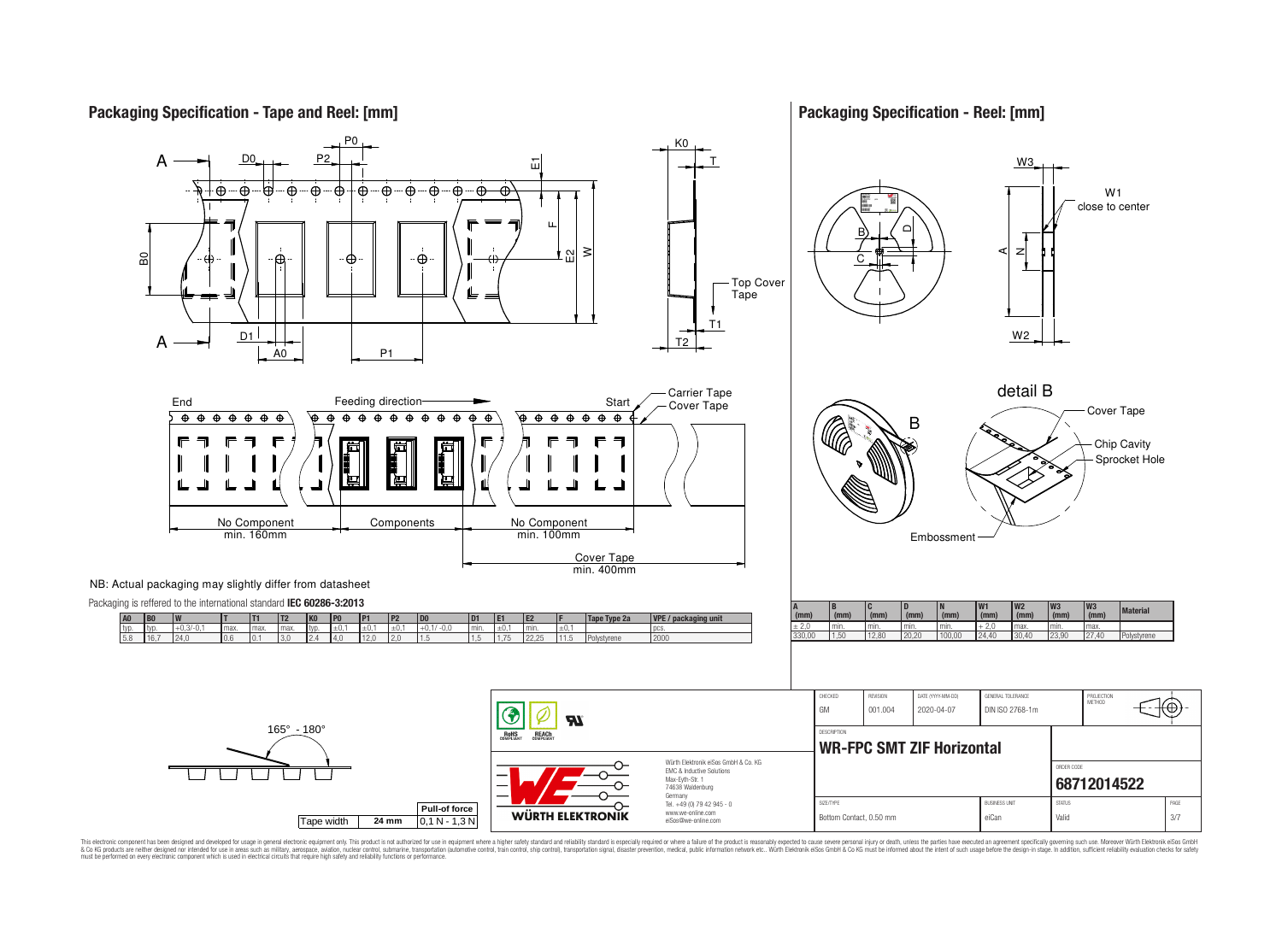

**Packaging Specification - Reel: [mm]**



This electronic component has been designed and developed for usage in general electronic equipment only. This product is not authorized for use in equipment where a higher safely standard and reliability standard si espec & Ook product a label and the membed of the seasuch as marked and as which such a membed and the such assume that income in the seasuch and the simulation and the such assume that include to the such a membed and the such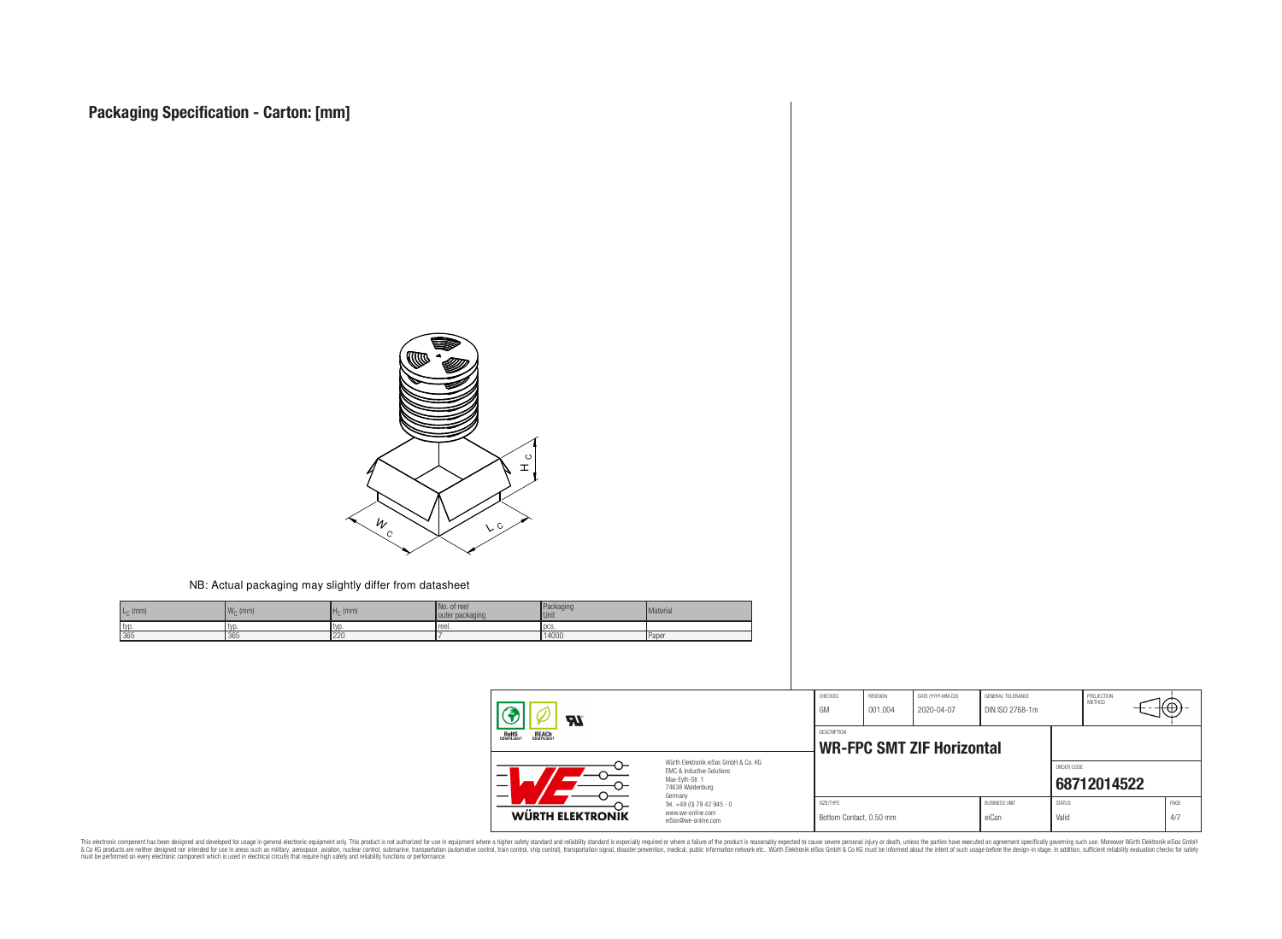

#### NB: Actual packaging may slightly differ from datasheet

| $L_{\odot}$ (mm) | 1141<br>(mm) | $Hc$ (mm) | No. of reel<br>outer packaging | Packaging<br><b>Unit</b> | Material       |
|------------------|--------------|-----------|--------------------------------|--------------------------|----------------|
| I typ.           | I IVD        | I tvi.    | reel.                          | l DCS                    |                |
| 365              | 365          | 220       |                                | 14000                    | <b>I</b> Paper |

| $\boldsymbol{\mathcal{H}}$                                                                                                                                      |                                                                        | CHECKED<br>GM                                          | REVISION<br>001.004 | DATE (YYYY-MM-DD)<br>2020-04-07 | GENERAL TOLERANCE<br>DIN ISO 2768-1m |                        | PROJECTION<br>METHOD | ťΨ          |  |
|-----------------------------------------------------------------------------------------------------------------------------------------------------------------|------------------------------------------------------------------------|--------------------------------------------------------|---------------------|---------------------------------|--------------------------------------|------------------------|----------------------|-------------|--|
| <b>REACH</b><br>COMPLIANT<br><b>ROHS</b><br>COMPLIANT                                                                                                           |                                                                        | <b>DESCRIPTION</b><br><b>WR-FPC SMT ZIF Horizontal</b> |                     |                                 |                                      |                        |                      |             |  |
| Würth Flektronik eiSos GmbH & Co. KG<br><b>EMC &amp; Inductive Solutions</b><br>–<br>Max-Eyth-Str. 1<br>$\overline{\phantom{0}}$<br>74638 Waldenburg<br>Germany |                                                                        |                                                        |                     |                                 |                                      | ORDER CODE             | 68712014522          |             |  |
| <b>WÜRTH ELEKTRONIK</b>                                                                                                                                         | Tel. +49 (0) 79 42 945 - 0<br>www.we-online.com<br>eiSos@we-online.com | SIZE/TYPE<br>Bottom Contact, 0.50 mm                   |                     |                                 | <b>BUSINESS UNIT</b><br>eiCan        | <b>STATUS</b><br>Valid |                      | PAGE<br>4/7 |  |

This electronic component has been designed and developed for usage in general electronic equipment only. This product is not authorized for subserved requipment where a higher selection equipment where a higher selection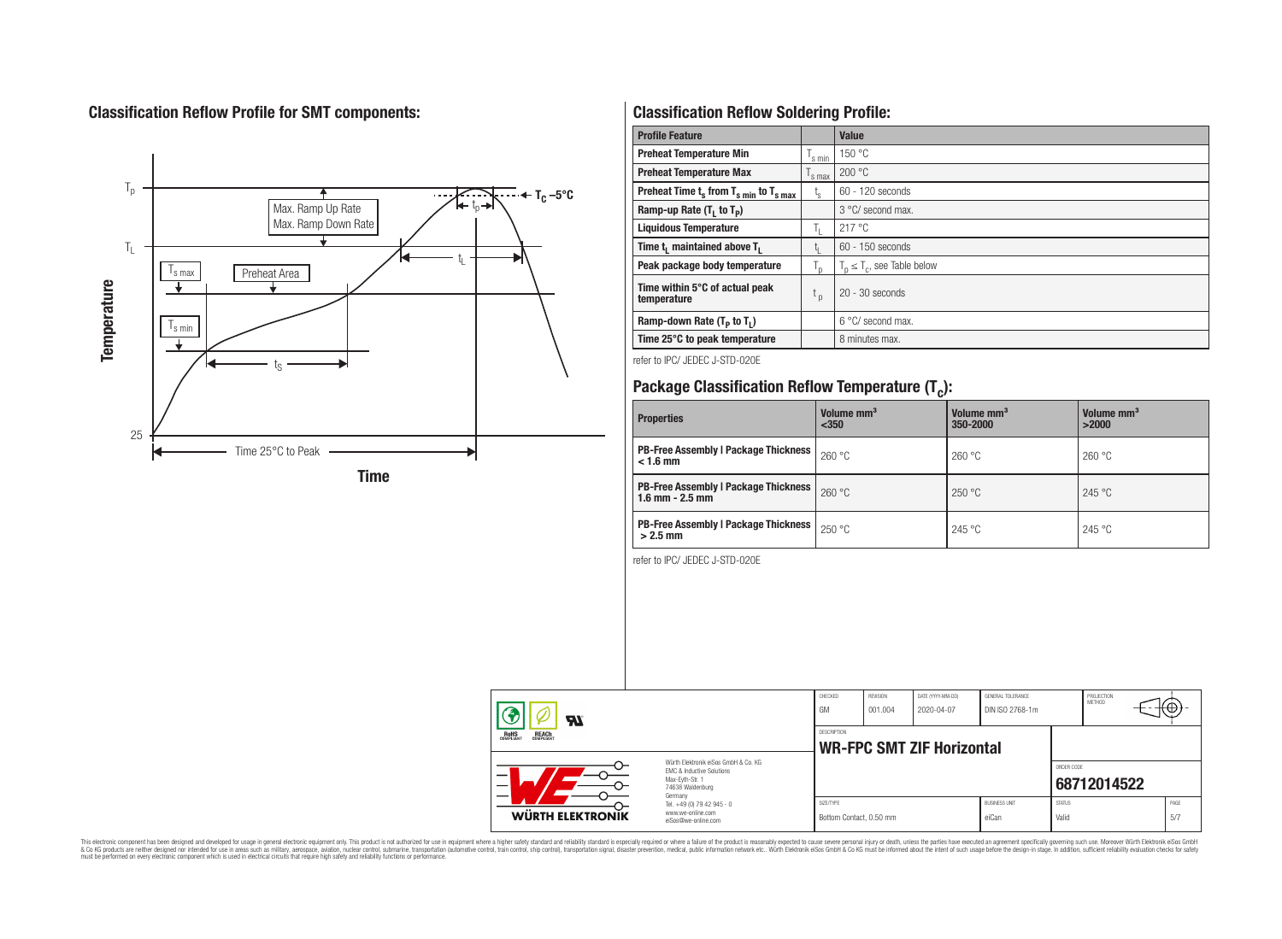# **Classification Reflow Profile for SMT components:**



# **Classification Reflow Soldering Profile:**

| <b>Profile Feature</b>                              |                    | <b>Value</b>                     |
|-----------------------------------------------------|--------------------|----------------------------------|
| <b>Preheat Temperature Min</b>                      | 's min             | 150 °C                           |
| <b>Preheat Temperature Max</b>                      | <sup>I</sup> s max | 200 °C                           |
| Preheat Time $t_s$ from $T_{s min}$ to $T_{s max}$  | t <sub>s</sub>     | $60 - 120$ seconds               |
| Ramp-up Rate $(T_1$ to $T_p$ )                      |                    | 3 °C/ second max.                |
| <b>Liquidous Temperature</b>                        | Îτ.                | 217 °C                           |
| Time t <sub>1</sub> maintained above T <sub>1</sub> | L۱.                | $60 - 150$ seconds               |
| Peak package body temperature                       | $T_{\sf p}$        | $T_n \leq T_c$ , see Table below |
| Time within 5°C of actual peak<br>temperature       | $t_{p}$            | $20 - 30$ seconds                |
| Ramp-down Rate $(T_P$ to $T_I$ )                    |                    | 6 °C/ second max.                |
| Time 25°C to peak temperature                       |                    | 8 minutes max.                   |

refer to IPC/ JEDEC J-STD-020E

# **Package Classification Reflow Temperature (T<sup>c</sup> ):**

| <b>Properties</b>                                                    | Volume mm <sup>3</sup><br>$350$ | Volume mm <sup>3</sup><br>350-2000 | Volume mm <sup>3</sup><br>>2000 |  |
|----------------------------------------------------------------------|---------------------------------|------------------------------------|---------------------------------|--|
| <b>PB-Free Assembly   Package Thickness</b><br>$< 1.6$ mm            | 260 °C                          | 260 °C                             | 260 °C                          |  |
| <b>PB-Free Assembly   Package Thickness  </b><br>$1.6$ mm $- 2.5$ mm | 260 °C                          | 250 °C                             | 245 °C                          |  |
| <b>PB-Free Assembly   Package Thickness  </b><br>$>2.5$ mm           | 250 °C                          | 245 °C                             | 245 °C                          |  |

refer to IPC/ JEDEC J-STD-020E

|                   | ZТ                                                                                                                  |                                                                        | CHECKED<br><b>GM</b>                 | REVISION<br>001.004 | DATE (YYYY-MM-DD)<br>2020-04-07  | GENERAL TOLERANCE<br>DIN ISO 2768-1m |                        | PROJECTION<br><b>METHOD</b> |             |
|-------------------|---------------------------------------------------------------------------------------------------------------------|------------------------------------------------------------------------|--------------------------------------|---------------------|----------------------------------|--------------------------------------|------------------------|-----------------------------|-------------|
| ROHS<br>COMPLIANT | <b>REACH</b><br>COMPLIANT                                                                                           |                                                                        | DESCRIPTION                          |                     | <b>WR-FPC SMT ZIF Horizontal</b> |                                      |                        |                             |             |
| –                 | Würth Elektronik eiSos GmbH & Co. KG<br>EMC & Inductive Solutions<br>Max-Evth-Str. 1<br>74638 Waldenburg<br>Germany |                                                                        |                                      |                     |                                  |                                      | ORDER CODE             | 68712014522                 |             |
|                   | <b>WÜRTH ELEKTRONIK</b>                                                                                             | Tel. +49 (0) 79 42 945 - 0<br>www.we-online.com<br>eiSos@we-online.com | SIZE/TYPE<br>Bottom Contact, 0.50 mm |                     |                                  | <b>BUSINESS UNIT</b><br>eiCan        | <b>STATUS</b><br>Valid |                             | PAGE<br>5/7 |

This electronic component has been designed and developed for usage in general electronic equipment only. This product is not authorized for subserved requipment where a higher selection equipment where a higher selection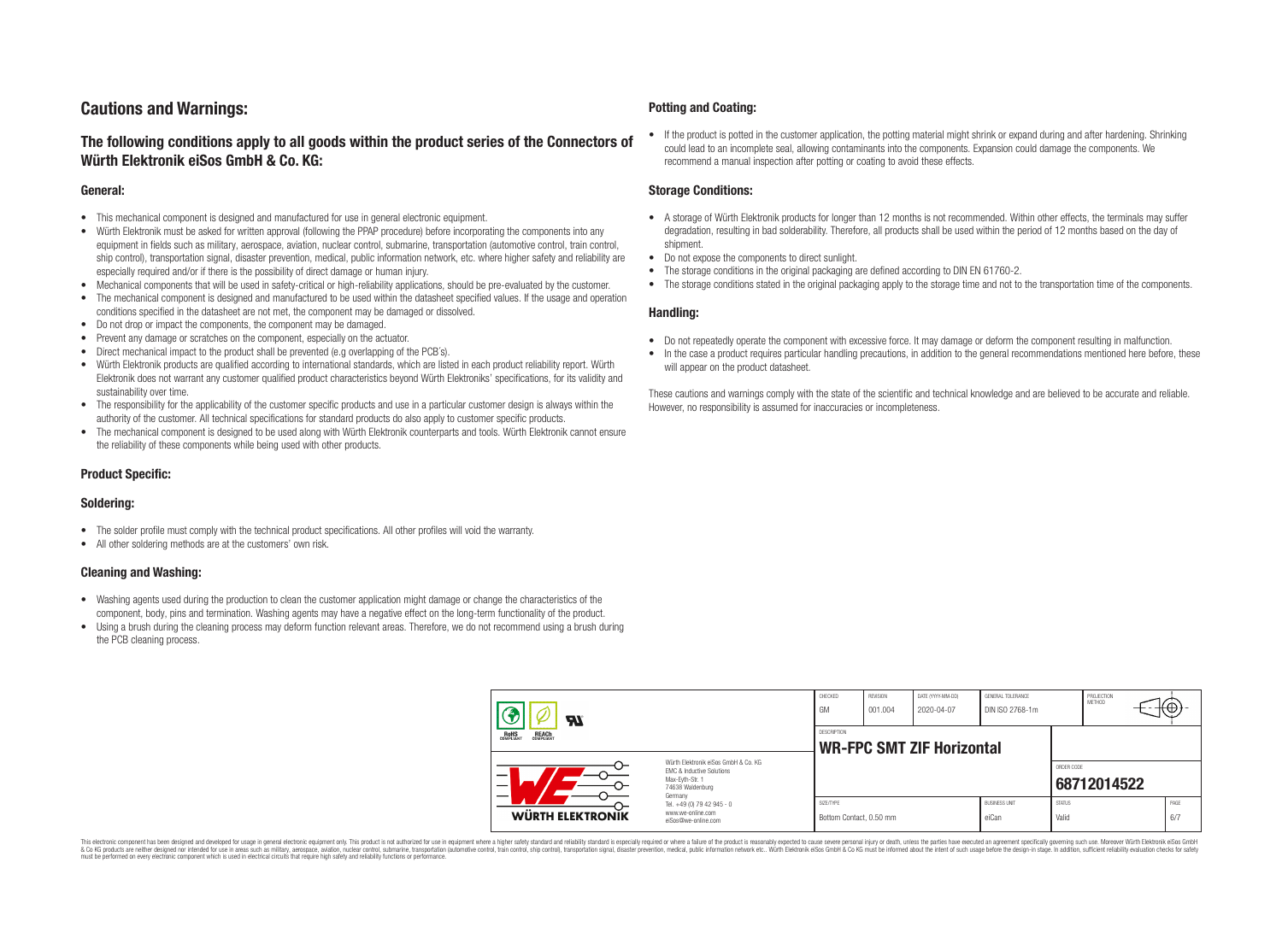# **Cautions and Warnings:**

### **The following conditions apply to all goods within the product series of the Connectors of Würth Elektronik eiSos GmbH & Co. KG:**

#### **General:**

- This mechanical component is designed and manufactured for use in general electronic equipment.
- Würth Elektronik must be asked for written approval (following the PPAP procedure) before incorporating the components into any equipment in fields such as military, aerospace, aviation, nuclear control, submarine, transportation (automotive control, train control, ship control), transportation signal, disaster prevention, medical, public information network, etc. where higher safety and reliability are especially required and/or if there is the possibility of direct damage or human injury.
- Mechanical components that will be used in safety-critical or high-reliability applications, should be pre-evaluated by the customer.
- The mechanical component is designed and manufactured to be used within the datasheet specified values. If the usage and operation conditions specified in the datasheet are not met, the component may be damaged or dissolved.
- Do not drop or impact the components, the component may be damaged.
- Prevent any damage or scratches on the component, especially on the actuator.
- Direct mechanical impact to the product shall be prevented (e.g overlapping of the PCB's).
- Würth Elektronik products are qualified according to international standards, which are listed in each product reliability report. Würth Elektronik does not warrant any customer qualified product characteristics beyond Würth Elektroniks' specifications, for its validity and sustainability over time.
- The responsibility for the applicability of the customer specific products and use in a particular customer design is always within the authority of the customer. All technical specifications for standard products do also apply to customer specific products.
- The mechanical component is designed to be used along with Würth Elektronik counterparts and tools. Würth Elektronik cannot ensure the reliability of these components while being used with other products.

#### **Product Specific:**

#### **Soldering:**

- The solder profile must comply with the technical product specifications. All other profiles will void the warranty.
- All other soldering methods are at the customers' own risk.

#### **Cleaning and Washing:**

- Washing agents used during the production to clean the customer application might damage or change the characteristics of the component, body, pins and termination. Washing agents may have a negative effect on the long-term functionality of the product.
- Using a brush during the cleaning process may deform function relevant areas. Therefore, we do not recommend using a brush during the PCB cleaning process.

#### **Potting and Coating:**

• If the product is potted in the customer application, the potting material might shrink or expand during and after hardening. Shrinking could lead to an incomplete seal, allowing contaminants into the components. Expansion could damage the components. We recommend a manual inspection after potting or coating to avoid these effects.

#### **Storage Conditions:**

- A storage of Würth Elektronik products for longer than 12 months is not recommended. Within other effects, the terminals may suffer degradation, resulting in bad solderability. Therefore, all products shall be used within the period of 12 months based on the day of shipment.
- Do not expose the components to direct sunlight.
- The storage conditions in the original packaging are defined according to DIN EN 61760-2.
- The storage conditions stated in the original packaging apply to the storage time and not to the transportation time of the components.

#### **Handling:**

- Do not repeatedly operate the component with excessive force. It may damage or deform the component resulting in malfunction.
- In the case a product requires particular handling precautions, in addition to the general recommendations mentioned here before, these will appear on the product datasheet.

These cautions and warnings comply with the state of the scientific and technical knowledge and are believed to be accurate and reliable. However, no responsibility is assumed for inaccuracies or incompleteness.

| ЯI                                                                                                                                                   |                                                                        | CHECKED<br>GM                                          | REVISION<br>001.004 | DATE (YYYY-MM-DD)<br>2020-04-07 | GENERAL TOLERANCE<br>DIN ISO 2768-1m |                        | PROJECTION<br><b>METHOD</b> |             |
|------------------------------------------------------------------------------------------------------------------------------------------------------|------------------------------------------------------------------------|--------------------------------------------------------|---------------------|---------------------------------|--------------------------------------|------------------------|-----------------------------|-------------|
| <b>REACH</b><br>COMPLIANT<br>ROHS<br>COMPLIANT                                                                                                       |                                                                        | <b>DESCRIPTION</b><br><b>WR-FPC SMT ZIF Horizontal</b> |                     |                                 |                                      |                        |                             |             |
| Würth Flektronik eiSos GmbH & Co. KG<br>EMC & Inductive Solutions<br>–<br>Max-Eyth-Str. 1<br>$\overline{\phantom{a}}$<br>74638 Waldenburg<br>Germany |                                                                        |                                                        |                     |                                 |                                      | ORDER CODE             | 68712014522                 |             |
| <b>WÜRTH ELEKTRONIK</b>                                                                                                                              | Tel. +49 (0) 79 42 945 - 0<br>www.we-online.com<br>eiSos@we-online.com | SIZE/TYPE<br>Bottom Contact, 0.50 mm                   |                     |                                 | <b>BUSINESS UNIT</b><br>eiCan        | <b>STATUS</b><br>Valid |                             | PAGE<br>6/7 |

This electronic component has been designed and developed for usage in general electronic equipment only. This product is not authorized for use in equipment where a higher safety standard and reliability standard si espec & Ook product a label and the membed of the seasuch as marked and as which such a membed and the such assume that income in the seasuch and the simulation and the such assume that include to the such a membed and the such